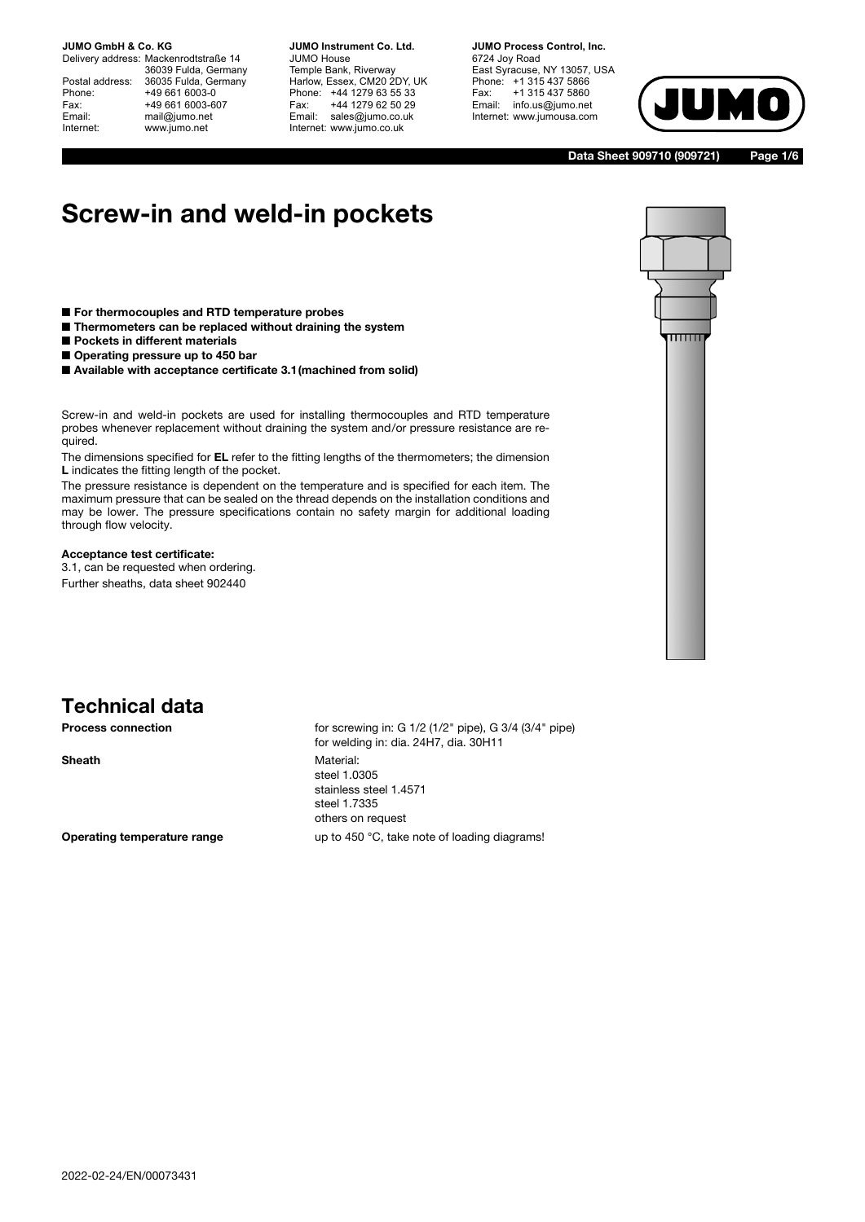Delivery address: Mackenrodtstraße 14 36039 Fulda, Germany Postal address: 36035 Fulda, Germany Phone: +49 661 6003-0 Fax: +49 661 6003-607 Email: mail@jumo.net Internet: www.jumo.net

**JUMO Instrument Co. Ltd.** JUMO House Temple Bank, Riverway Harlow, Essex, CM20 2DY, UK Phone: +44 1279 63 55 33 Fax: +44 1279 62 50 29 Email: sales@jumo.co.uk Internet: www.jumo.co.uk

**JUMO Process Control, Inc.** 6724 Joy Road East Syracuse, NY 13057, USA Phone: +1 315 437 5866 Fax: +1 315 437 5860 Email: info.us@jumo.net Internet: www.jumousa.com



**Data Sheet 909710 (909721) Page 1/6**

# **Screw-in and weld-in pockets**

- **For thermocouples and RTD temperature probes**
- **Thermometers can be replaced without draining the system**
- **Pockets in different materials**
- **Operating pressure up to 450 bar**
- Available with acceptance certificate 3.1 (machined from solid)

Screw-in and weld-in pockets are used for installing thermocouples and RTD temperature probes whenever replacement without draining the system and/or pressure resistance are required.

The dimensions specified for **EL** refer to the fitting lengths of the thermometers; the dimension **L** indicates the fitting length of the pocket.

The pressure resistance is dependent on the temperature and is specified for each item. The maximum pressure that can be sealed on the thread depends on the installation conditions and may be lower. The pressure specifications contain no safety margin for additional loading through flow velocity.

#### **Acceptance test certificate:**

3.1, can be requested when ordering. Further sheaths, data sheet 902440



## **Technical data**

**Process connection** for screwing in: G 1/2 (1/2" pipe), G 3/4 (3/4" pipe) for welding in: dia. 24H7, dia. 30H11 **Sheath** Material: steel 1.0305 stainless steel 1.4571 steel 1.7335 others on request **Operating temperature range** up to 450 °C, take note of loading diagrams!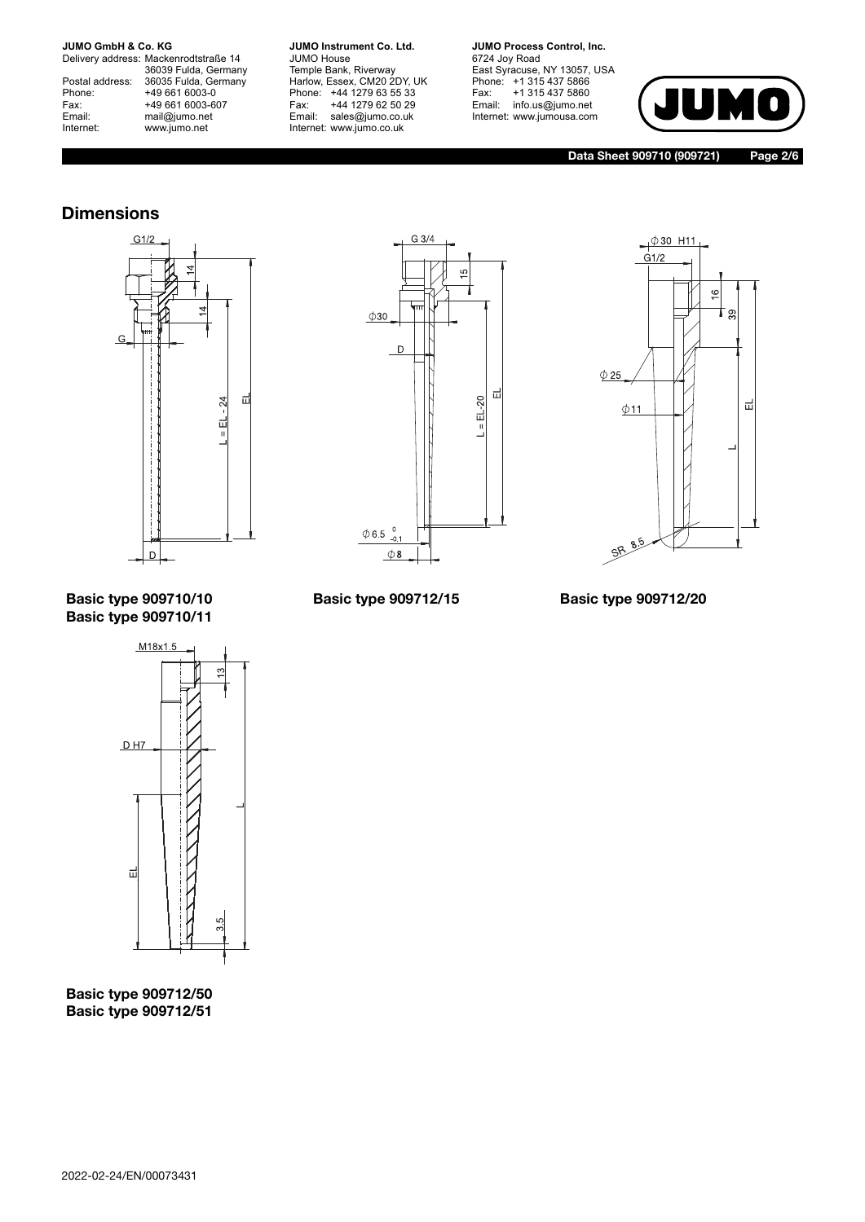Delivery address: Mackenrodtstraße 14 36039 Fulda, Germany Postal address: 36035 Fulda, Germany Postal address: 36035 Fulda, Ge<br>
Phone: +49 661 6003-0<br>
Fax: +49 661 6003-6<br>
Email: mail@jumo.net +49 661 6003-607 mail@jumo.net Internet: www.jumo.net

**JUMO Instrument Co. Ltd.** JUMO House Temple Bank, Riverway Harlow, Essex, CM20 2DY, UK Phone: +44 1279 63 55 33 Fax: +44 1279 62 50 29 Email: sales@jumo.co.uk Internet: www.jumo.co.uk

**JUMO Process Control, Inc.** 6724 Joy Road East Syracuse, NY 13057, USA Phone: +1 315 437 5866 Fax: +1 315 437 5860 Email: info.us@jumo.net Internet: www.jumousa.com



**Data Sheet 909710 (909721) Page 2/6**

### **Dimensions**







#### **Basic type 909710/10 Basic type 909710/11**

M<sub>18x1.5</sub>  $\mathfrak{S}$ 



**Basic type 909712/50 Basic type 909712/51**

**Basic type 909712/15 Basic type 909712/20**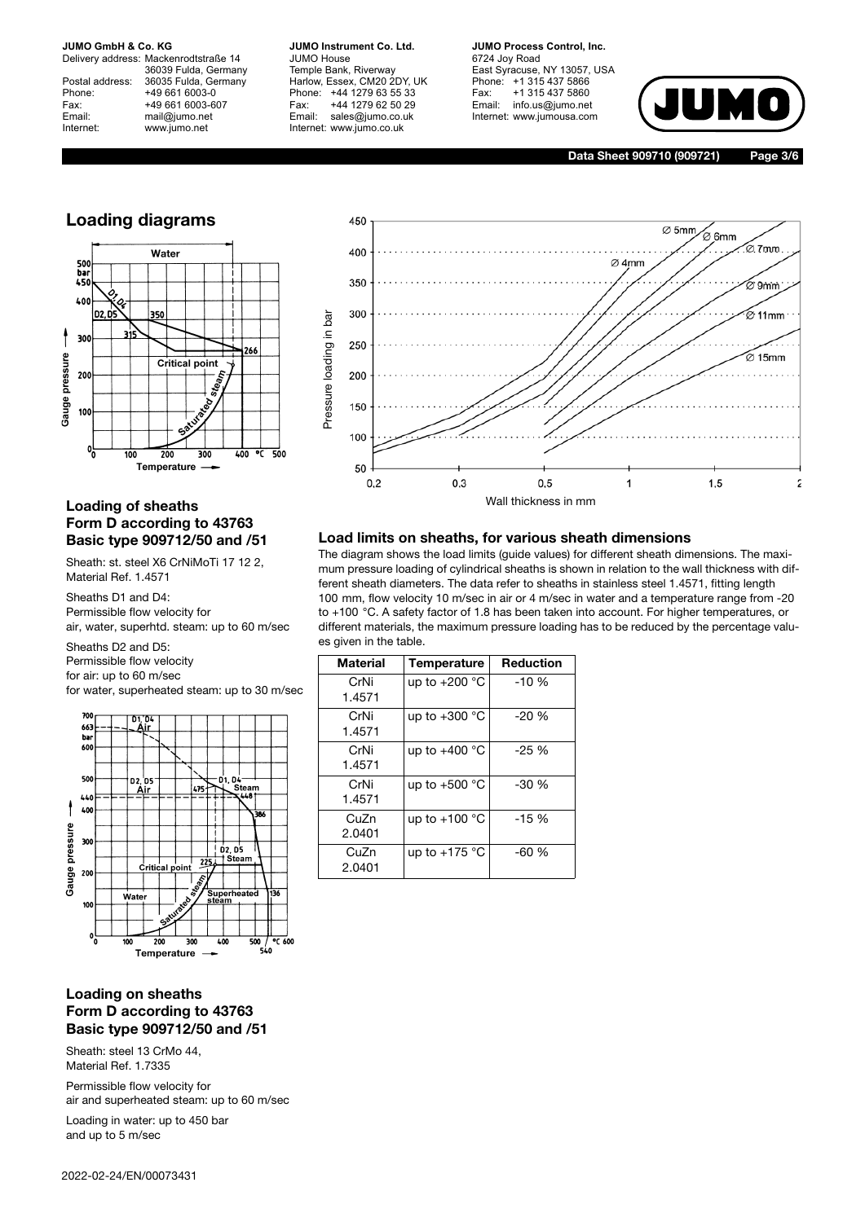Delivery address: Mackenrodtstraße 14 36039 Fulda, Germany Postal address: 36035 Fulda, Germany Phone: +49 661 6003-0 Fax: +49 661 6003-607<br>Email: +49 661 6003-607 mail@jumo.net Internet: www.jumo.net

**JUMO Instrument Co. Ltd.** JUMO House Temple Bank, Riverway Harlow, Essex, CM20 2DY, UK Phone: +44 1279 63 55 33 Fax: +44 1279 62 50 29 Email: sales@jumo.co.uk Internet: www.jumo.co.uk

**JUMO Process Control, Inc.** 6724 Joy Road East Syracuse, NY 13057, USA

Phone: +1 315 437 5866 Fax: +1 315 437 5860 Email: info.us@jumo.net Internet: www.jumousa.com



**Data Sheet 909710 (909721) Page 3/6**

#### **Loading diagrams**



#### **Loading of sheaths Form D according to 43763 Basic type 909712/50 and /51**

Sheath: st. steel X6 CrNiMoTi 17 12 2, Material Ref. 1.4571

Sheaths D1 and D4: Permissible flow velocity for air, water, superhtd. steam: up to 60 m/sec

Sheaths D2 and D5: Permissible flow velocity for air: up to 60 m/sec for water, superheated steam: up to 30 m/sec



#### **Loading on sheaths Form D according to 43763 Basic type 909712/50 and /51**

Sheath: steel 13 CrMo 44, Material Ref. 1.7335

Permissible flow velocity for air and superheated steam: up to 60 m/sec

Loading in water: up to 450 bar and up to 5 m/sec



#### **Load limits on sheaths, for various sheath dimensions**

The diagram shows the load limits (guide values) for different sheath dimensions. The maximum pressure loading of cylindrical sheaths is shown in relation to the wall thickness with different sheath diameters. The data refer to sheaths in stainless steel 1.4571, fitting length 100 mm, flow velocity 10 m/sec in air or 4 m/sec in water and a temperature range from -20 to +100 °C. A safety factor of 1.8 has been taken into account. For higher temperatures, or different materials, the maximum pressure loading has to be reduced by the percentage values given in the table.

| <b>Material</b> | Temperature     | <b>Reduction</b> |
|-----------------|-----------------|------------------|
| CrNi<br>1.4571  | up to +200 °C   | $-10%$           |
| CrNi<br>1.4571  | up to $+300$ °C | $-20%$           |
| CrNi<br>1.4571  | up to $+400$ °C | $-25\%$          |
| CrNi<br>1.4571  | up to $+500$ °C | $-30\%$          |
| CuZn<br>2.0401  | up to $+100$ °C | $-15%$           |
| CuZn<br>2.0401  | up to $+175$ °C | $-60%$           |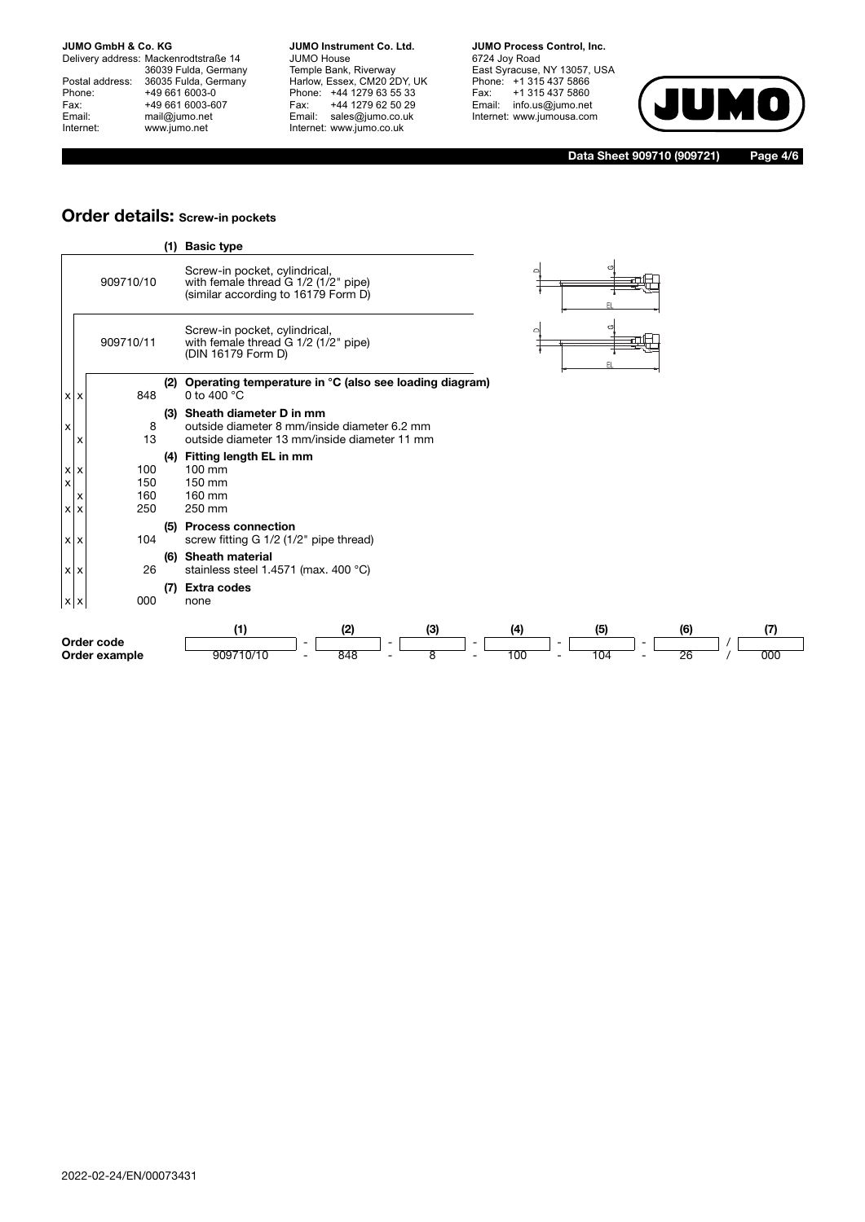Delivery address: Mackenrodtstraße 14 36039 Fulda, Germany Postal address: 36035 Fulda, Germany Phone: +49 661 6003-0<br>
Fax: +49 661 6003-6<br>
Email: mail@jumo.net +49 661 6003-607 mail@jumo.net Internet: www.jumo.net

**JUMO Instrument Co. Ltd.** JUMO House Temple Bank, Riverway Harlow, Essex, CM20 2DY, UK Phone: +44 1279 63 55 33 Fax: +44 1279 62 50 29 Email: sales@jumo.co.uk Internet: www.jumo.co.uk

**JUMO Process Control, Inc.** 6724 Joy Road East Syracuse, NY 13057, USA Phone: +1 315 437 5866 Fax: +1 315 437 5860 Email: info.us@jumo.net Internet: www.jumousa.com



**Data Sheet 909710 (909721) Page 4/6**

#### **Order details: Screw-in pockets**

|                               |                             | (1) | <b>Basic type</b>                                                                                                       |            |            |           |            |
|-------------------------------|-----------------------------|-----|-------------------------------------------------------------------------------------------------------------------------|------------|------------|-----------|------------|
|                               | 909710/10                   |     | Screw-in pocket, cylindrical,<br>with female thread G 1/2 (1/2" pipe)<br>(similar according to 16179 Form D)            | o          |            |           |            |
|                               | 909710/11                   |     | Screw-in pocket, cylindrical,<br>with female thread G 1/2 (1/2" pipe)<br>(DIN 16179 Form D)                             | $\Box$     |            |           |            |
| $x \mid x$                    | 848                         | (2) | Operating temperature in °C (also see loading diagram)<br>0 to 400 °C                                                   |            |            |           |            |
| x                             | 8<br>13                     | (3) | Sheath diameter D in mm<br>outside diameter 8 mm/inside diameter 6.2 mm<br>outside diameter 13 mm/inside diameter 11 mm |            |            |           |            |
| $x \times$<br>X<br>$x \mid x$ | 100<br>150<br>160<br>250    | (4) | Fitting length EL in mm<br>$100 \text{ mm}$<br>150 mm<br>160 mm<br>250 mm                                               |            |            |           |            |
| $x \times$                    | 104                         | (5) | <b>Process connection</b><br>screw fitting G 1/2 (1/2" pipe thread)                                                     |            |            |           |            |
| $x \times$                    | 26                          | (6) | <b>Sheath material</b><br>stainless steel 1.4571 (max. 400 °C)                                                          |            |            |           |            |
| $x \mid x$                    | 000                         | (7) | <b>Extra codes</b><br>none                                                                                              |            |            |           |            |
|                               | Order code<br>Order example |     | (2)<br>(1)<br>(3)<br>909710/10<br>848<br>8                                                                              | (4)<br>100 | (5)<br>104 | (6)<br>26 | (7)<br>000 |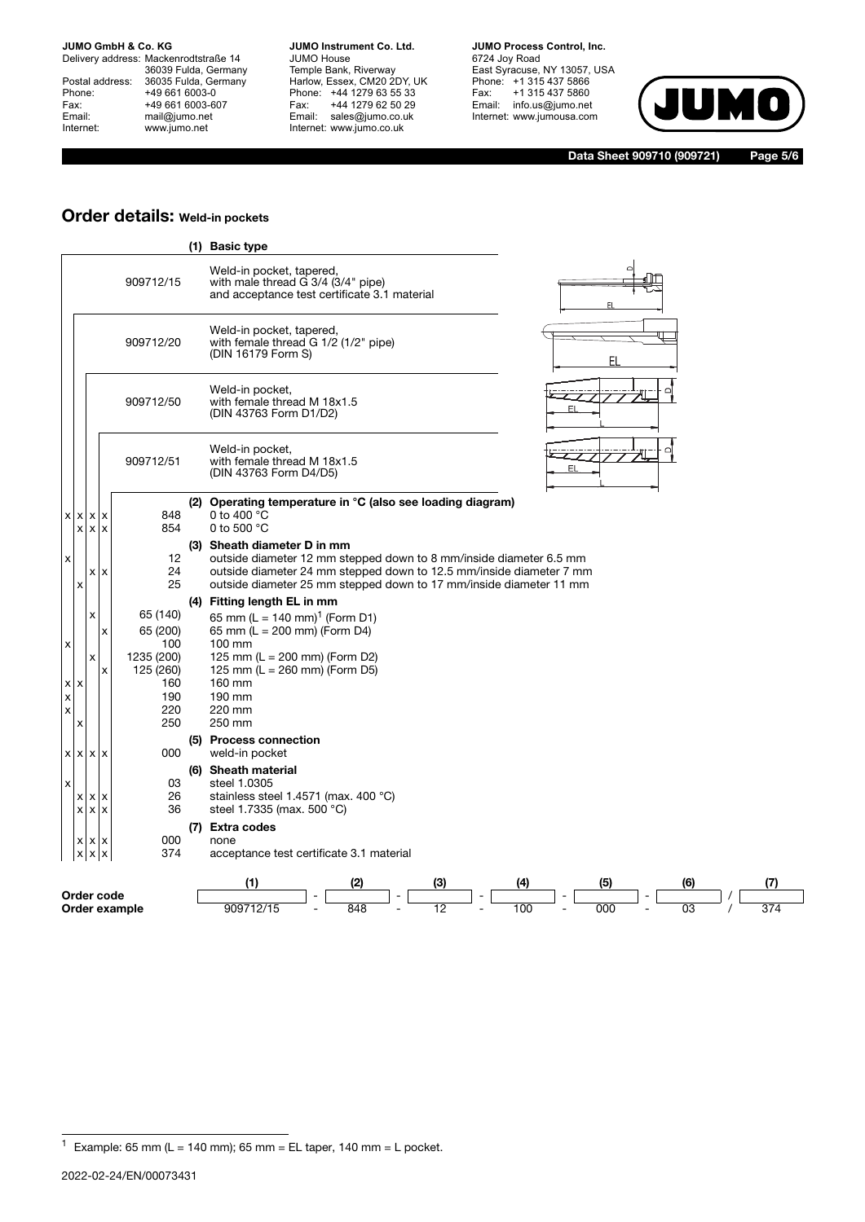Delivery address: Mackenrodtstraße 14 36039 Fulda, Germany Postal address: 36035 Fulda, Germany Phone: +49 661 6003-0<br>
Fax: +49 661 6003-6<br>
Email: mail@jumo.net +49 661 6003-607 mail@jumo.net Internet: www.jumo.net

**JUMO Instrument Co. Ltd.** JUMO House Temple Bank, Riverway Harlow, Essex, CM20 2DY, UK Phone: +44 1279 63 55 33 Fax: +44 1279 62 50 29 Email: sales@jumo.co.uk Internet: www.jumo.co.uk

**JUMO Process Control, Inc.** 6724 Joy Road East Syracuse, NY 13057, USA Phone: +1 315 437 5866 Fax: +1 315 437 5860

Email: info.us@jumo.net Internet: www.jumousa.com



**Data Sheet 909710 (909721) Page 5/6**

#### **Order details: Weld-in pockets**

|                                                             |                                |                                               |                             |                                                                      |     | (1) Basic type                                                                                                                                                                                                                                 |
|-------------------------------------------------------------|--------------------------------|-----------------------------------------------|-----------------------------|----------------------------------------------------------------------|-----|------------------------------------------------------------------------------------------------------------------------------------------------------------------------------------------------------------------------------------------------|
|                                                             |                                |                                               | 909712/15                   |                                                                      |     | Weld-in pocket, tapered,<br>with male thread G 3/4 (3/4" pipe)<br>and acceptance test certificate 3.1 material<br>EL                                                                                                                           |
|                                                             |                                |                                               | 909712/20                   |                                                                      |     | Weld-in pocket, tapered,<br>with female thread G 1/2 (1/2" pipe)<br>(DIN 16179 Form S)<br>EL                                                                                                                                                   |
|                                                             |                                |                                               | 909712/50                   |                                                                      |     | Weld-in pocket,<br>with female thread M 18x1.5<br>EL<br>(DIN 43763 Form D1/D2)                                                                                                                                                                 |
|                                                             |                                |                                               | 909712/51                   |                                                                      |     | Weld-in pocket,<br>with female thread M 18x1.5<br>FI.<br>(DIN 43763 Form D4/D5)                                                                                                                                                                |
|                                                             |                                | $x \mid x \mid x \mid x$<br>$x \mid x \mid x$ |                             | 848<br>854                                                           | (2) | Operating temperature in °C (also see loading diagram)<br>0 to 400 °C<br>0 to 500 °C                                                                                                                                                           |
| x                                                           | Х                              | $x \mid x$                                    |                             | 12<br>24<br>25                                                       |     | (3) Sheath diameter D in mm<br>outside diameter 12 mm stepped down to 8 mm/inside diameter 6.5 mm<br>outside diameter 24 mm stepped down to 12.5 mm/inside diameter 7 mm<br>outside diameter 25 mm stepped down to 17 mm/inside diameter 11 mm |
| x<br>$\pmb{\mathsf{x}}$<br>$\pmb{\times}$<br>$\pmb{\times}$ | $\boldsymbol{\mathsf{x}}$<br>x | х<br>х<br>х<br>X                              | 1235 (200)                  | 65 (140)<br>65 (200)<br>100<br>125 (260)<br>160<br>190<br>220<br>250 |     | (4) Fitting length EL in mm<br>65 mm (L = 140 mm) <sup>1</sup> (Form D1)<br>65 mm (L = 200 mm) (Form D4)<br>$100 \text{ mm}$<br>125 mm (L = 200 mm) (Form D2)<br>125 mm (L = 260 mm) (Form D5)<br>160 mm<br>190 mm<br>220 mm<br>250 mm         |
|                                                             |                                | $x \mid x \mid x \mid x$                      |                             | 000                                                                  |     | (5) Process connection<br>weld-in pocket                                                                                                                                                                                                       |
| x                                                           |                                | $x \times x$<br>$x \mid x \mid x$             |                             | 03<br>26<br>36                                                       |     | (6) Sheath material<br>steel 1.0305<br>stainless steel 1.4571 (max. 400 °C)<br>steel 1.7335 (max. 500 °C)                                                                                                                                      |
|                                                             | <b>XX</b><br>x                 | X<br>X<br>$\boldsymbol{\mathsf{x}}$           |                             | 000<br>374                                                           |     | (7) Extra codes<br>none<br>acceptance test certificate 3.1 material                                                                                                                                                                            |
|                                                             |                                |                                               | Order code<br>Order example |                                                                      |     | (1)<br>(7)<br>(2)<br>(3)<br>(4)<br>(5)<br>(6)<br>000<br>909712/15<br>848<br>100<br>03                                                                                                                                                          |

 $1$  Example: 65 mm (L = 140 mm); 65 mm = EL taper, 140 mm = L pocket.